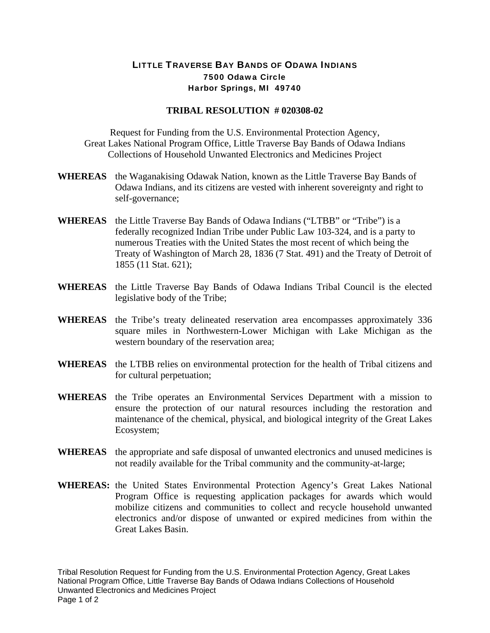## LITTLE TRAVERSE BAY BANDS OF ODAWA INDIANS 7500 Odawa Circle Harbor Springs, MI 49740

## **TRIBAL RESOLUTION # 020308-02**

Request for Funding from the U.S. Environmental Protection Agency, Great Lakes National Program Office, Little Traverse Bay Bands of Odawa Indians Collections of Household Unwanted Electronics and Medicines Project

- **WHEREAS** the Waganakising Odawak Nation, known as the Little Traverse Bay Bands of Odawa Indians, and its citizens are vested with inherent sovereignty and right to self-governance;
- **WHEREAS** the Little Traverse Bay Bands of Odawa Indians ("LTBB" or "Tribe") is a federally recognized Indian Tribe under Public Law 103-324, and is a party to numerous Treaties with the United States the most recent of which being the Treaty of Washington of March 28, 1836 (7 Stat. 491) and the Treaty of Detroit of 1855 (11 Stat. 621);
- **WHEREAS** the Little Traverse Bay Bands of Odawa Indians Tribal Council is the elected legislative body of the Tribe;
- **WHEREAS** the Tribe's treaty delineated reservation area encompasses approximately 336 square miles in Northwestern-Lower Michigan with Lake Michigan as the western boundary of the reservation area;
- **WHEREAS** the LTBB relies on environmental protection for the health of Tribal citizens and for cultural perpetuation;
- **WHEREAS** the Tribe operates an Environmental Services Department with a mission to ensure the protection of our natural resources including the restoration and maintenance of the chemical, physical, and biological integrity of the Great Lakes Ecosystem;
- **WHEREAS** the appropriate and safe disposal of unwanted electronics and unused medicines is not readily available for the Tribal community and the community-at-large;
- **WHEREAS:** the United States Environmental Protection Agency's Great Lakes National Program Office is requesting application packages for awards which would mobilize citizens and communities to collect and recycle household unwanted electronics and/or dispose of unwanted or expired medicines from within the Great Lakes Basin.